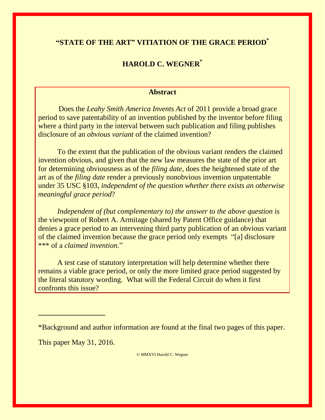## **"STATE OF THE ART" VITIATION OF THE GRACE PERIOD\***

## **HAROLD C. WEGNER\***

#### **Abstract**

 Does the *Leahy Smith America Invents Act* of 2011 provide a broad grace period to save patentability of an invention published by the inventor before filing where a third party in the interval between such publication and filing publishes disclosure of an *obvious variant* of the claimed invention?

To the extent that the publication of the obvious variant renders the claimed invention obvious, and given that the new law measures the state of the prior art for determining obviousness as of the *filing date,* does the heightened state of the art as of the *filing date* render a previously nonobvious invention unpatentable under 35 USC §103, *independent of the question whether there exists an otherwise meaningful grace period*?

*Independent of (but complementary to) the answer to the above question* is the viewpoint of Robert A. Armitage (shared by Patent Office guidance) that denies a grace period to an intervening third party publication of an obvious variant of the claimed invention because the grace period only exempts "[a] disclosure \*\*\* of a *claimed invention.*"

A test case of statutory interpretation will help determine whether there remains a viable grace period, or only the more limited grace period suggested by the literal statutory wording. What will the Federal Circuit do when it first confronts this issue?

\*Background and author information are found at the final two pages of this paper.

This paper May 31, 2016.

**\_\_\_\_\_\_\_\_\_\_\_\_\_\_\_\_\_\_**

© MMXVI Harold C. Wegner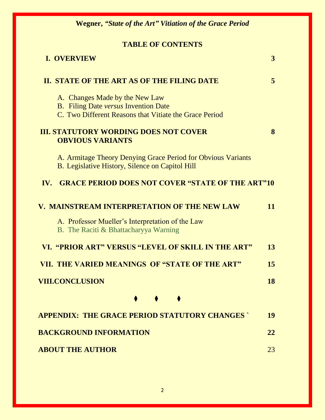# **TABLE OF CONTENTS**

| <b>I. OVERVIEW</b>                                                                                                                      | 3  |
|-----------------------------------------------------------------------------------------------------------------------------------------|----|
| II. STATE OF THE ART AS OF THE FILING DATE                                                                                              | 5  |
| A. Changes Made by the New Law<br><b>B.</b> Filing Date versus Invention Date<br>C. Two Different Reasons that Vitiate the Grace Period |    |
| <b>III. STATUTORY WORDING DOES NOT COVER</b><br><b>OBVIOUS VARIANTS</b>                                                                 | 8  |
| A. Armitage Theory Denying Grace Period for Obvious Variants<br>B. Legislative History, Silence on Capitol Hill                         |    |
| <b>GRACE PERIOD DOES NOT COVER "STATE OF THE ART"10</b><br>IV.                                                                          |    |
| V. MAINSTREAM INTERPRETATION OF THE NEW LAW                                                                                             | 11 |
| A. Professor Mueller's Interpretation of the Law<br>B. The Raciti & Bhattacharyya Warning                                               |    |
| VI. "PRIOR ART" VERSUS "LEVEL OF SKILL IN THE ART"                                                                                      | 13 |
| VII. THE VARIED MEANINGS OF "STATE OF THE ART"                                                                                          | 15 |
| <b>VIII.CONCLUSION</b>                                                                                                                  | 18 |
|                                                                                                                                         |    |
| <b>APPENDIX: THE GRACE PERIOD STATUTORY CHANGES</b>                                                                                     | 19 |
| <b>BACKGROUND INFORMATION</b>                                                                                                           | 22 |
| <b>ABOUT THE AUTHOR</b>                                                                                                                 | 23 |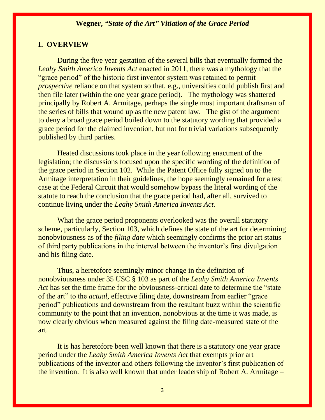#### **I. OVERVIEW**

During the five year gestation of the several bills that eventually formed the *Leahy Smith America Invents Act* enacted in 2011, there was a mythology that the "grace period" of the historic first inventor system was retained to permit *prospective* reliance on that system so that, e.g., universities could publish first and then file later (within the one year grace period). The mythology was shattered principally by Robert A. Armitage, perhaps the single most important draftsman of the series of bills that wound up as the new patent law. The gist of the argument to deny a broad grace period boiled down to the statutory wording that provided a grace period for the claimed invention, but not for trivial variations subsequently published by third parties.

Heated discussions took place in the year following enactment of the legislation; the discussions focused upon the specific wording of the definition of the grace period in Section 102. While the Patent Office fully signed on to the Armitage interpretation in their guidelines, the hope seemingly remained for a test case at the Federal Circuit that would somehow bypass the literal wording of the statute to reach the conclusion that the grace period had, after all, survived to continue living under the *Leahy Smith America Invents Act.* 

What the grace period proponents overlooked was the overall statutory scheme, particularly, Section 103, which defines the state of the art for determining nonobviousness as of the *filing date* which seemingly confirms the prior art status of third party publications in the interval between the inventor's first divulgation and his filing date.

Thus, a heretofore seemingly minor change in the definition of nonobviousness under 35 USC § 103 as part of the *Leahy Smith America Invents Act* has set the time frame for the obviousness-critical date to determine the "state" of the art" to the *actual,* effective filing date, downstream from earlier "grace period" publications and downstream from the resultant buzz within the scientific community to the point that an invention, nonobvious at the time it was made, is now clearly obvious when measured against the filing date-measured state of the art.

It is has heretofore been well known that there is a statutory one year grace period under the *Leahy Smith America Invents Act* that exempts prior art publications of the inventor and others following the inventor's first publication of the invention. It is also well known that under leadership of Robert A. Armitage –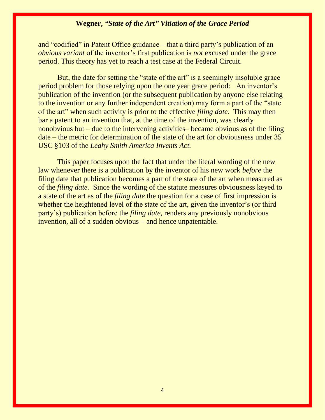and "codified" in Patent Office guidance – that a third party's publication of an *obvious variant* of the inventor's first publication is *not* excused under the grace period. This theory has yet to reach a test case at the Federal Circuit.

But, the date for setting the "state of the art" is a seemingly insoluble grace period problem for those relying upon the one year grace period: An inventor's publication of the invention (or the subsequent publication by anyone else relating to the invention or any further independent creation) may form a part of the "state of the art" when such activity is prior to the effective *filing date.* This may then bar a patent to an invention that, at the time of the invention, was clearly nonobvious but – due to the intervening activities– became obvious as of the filing date – the metric for determination of the state of the art for obviousness under 35 USC §103 of the *Leahy Smith America Invents Act.*

This paper focuses upon the fact that under the literal wording of the new law whenever there is a publication by the inventor of his new work *before* the filing date that publication becomes a part of the state of the art when measured as of the *filing date.* Since the wording of the statute measures obviousness keyed to a state of the art as of the *filing date* the question for a case of first impression is whether the heightened level of the state of the art, given the inventor's (or third party's) publication before the *filing date,* renders any previously nonobvious invention, all of a sudden obvious – and hence unpatentable.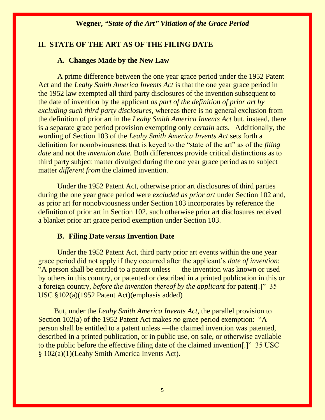### **II. STATE OF THE ART AS OF THE FILING DATE**

#### **A. Changes Made by the New Law**

A prime difference between the one year grace period under the 1952 Patent Act and the *Leahy Smith America Invents Act* is that the one year grace period in the 1952 law exempted all third party disclosures of the invention subsequent to the date of invention by the applicant *as part of the definition of prior art by excluding such third party disclosures*, whereas there is no general exclusion from the definition of prior art in the *Leahy Smith America Invents Act* but, instead, there is a separate grace period provision exempting only *certain* acts. Additionally, the wording of Section 103 of the *Leahy Smith America Invents Act* sets forth a definition for nonobviousness that is keyed to the "state of the art" as of the *filing date* and not the *invention date.* Both differences provide critical distinctions as to third party subject matter divulged during the one year grace period as to subject matter *different from* the claimed invention.

Under the 1952 Patent Act, otherwise prior art disclosures of third parties during the one year grace period were *excluded as prior art* under Section 102 and, as prior art for nonobviousness under Section 103 incorporates by reference the definition of prior art in Section 102, such otherwise prior art disclosures received a blanket prior art grace period exemption under Section 103.

#### **B. Filing Date** *versus* **Invention Date**

Under the 1952 Patent Act, third party prior art events within the one year grace period did not apply if they occurred after the applicant's *date of invention*: "A person shall be entitled to a patent unless — the invention was known or used by others in this country, or patented or described in a printed publication in this or a foreign country, *before the invention thereof by the applicant* for patent[.]" 35 USC §102(a)(1952 Patent Act)(emphasis added)

But, under the *Leahy Smith America Invents Act*, the parallel provision to Section 102(a) of the 1952 Patent Act makes *no* grace period exemption: "A person shall be entitled to a patent unless —the claimed invention was patented, described in a printed publication, or in public use, on sale, or otherwise available to the public before the effective filing date of the claimed invention[.]" 35 USC § 102(a)(1)(Leahy Smith America Invents Act).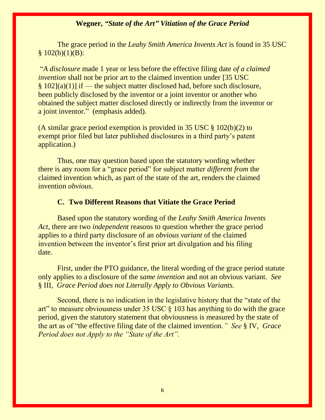The grace period in the *Leahy Smith America Invents Act* is found in 35 USC  $§ 102(b)(1)(B):$ 

"*A disclosure* made 1 year or less before the effective filing date *of a claimed invention* shall not be prior art to the claimed invention under [35 USC]  $§ 102](a)(1)$  if — the subject matter disclosed had, before such disclosure, been publicly disclosed by the inventor or a joint inventor or another who obtained the subject matter disclosed directly or indirectly from the inventor or a joint inventor." (emphasis added).

(A similar grace period exemption is provided in 35 USC § 102(b)(2) to exempt prior filed but later published disclosures in a third party's patent application.)

Thus, one may question based upon the statutory wording whether there is any room for a "grace period" for subject matter *different from* the claimed invention which, as part of the state of the art, renders the claimed invention *obvious.*

#### **C. Two Different Reasons that Vitiate the Grace Period**

Based upon the statutory wording of the *Leahy Smith America Invents Act*, there are two *independent* reasons to question whether the grace period applies to a third party disclosure of an *obvious variant* of the claimed invention between the inventor's first prior art divulgation and his filing date.

First, under the PTO guidance, the literal wording of the grace period statute only applies to a disclosure of the *same invention* and not an obvious variant. *See*  § III, *Grace Period does not Literally Apply to Obvious Variants.*

Second, there is no indication in the legislative history that the "state of the art" to measure obviousness under 35 USC § 103 has anything to do with the grace period, given the statutory statement that obviousness is measured by the state of the art as of "the effective filing date of the claimed invention*." See* § IV, *Grace Period does not Apply to the "State of the Art".*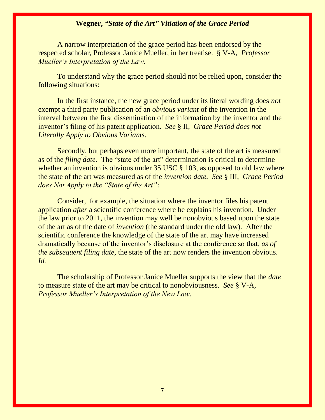A narrow interpretation of the grace period has been endorsed by the respected scholar, Professor Janice Mueller, in her treatise. § V-A, *Professor Mueller's Interpretation of the Law.*

To understand why the grace period should not be relied upon, consider the following situations:

In the first instance, the new grace period under its literal wording does *not*  exempt a third party publication of an *obvious variant* of the invention in the interval between the first dissemination of the information by the inventor and the inventor's filing of his patent application. *See* § II, *Grace Period does not Literally Apply to Obvious Variants.* 

Secondly, but perhaps even more important, the state of the art is measured as of the *filing date.* The "state of the art" determination is critical to determine whether an invention is obvious under 35 USC § 103, as opposed to old law where the state of the art was measured as of the *invention date. See* § III, *Grace Period does Not Apply to the "State of the Art"*:

Consider, for example, the situation where the inventor files his patent application *after* a scientific conference where he explains his invention. Under the law prior to 2011, the invention may well be nonobvious based upon the state of the art as of the date of *invention* (the standard under the old law)*.* After the scientific conference the knowledge of the state of the art may have increased dramatically because of the inventor's disclosure at the conference so that, *as of the subsequent filing date,* the state of the art now renders the invention obvious. *Id.* 

The scholarship of Professor Janice Mueller supports the view that the *date*  to measure state of the art may be critical to nonobviousness. *See* § V-A, *Professor Mueller's Interpretation of the New Law*.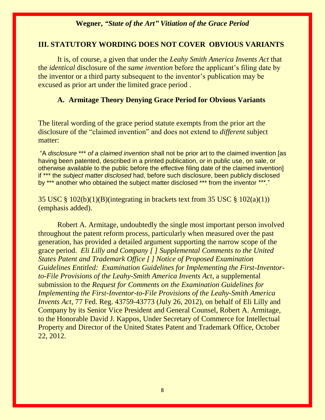#### **III. STATUTORY WORDING DOES NOT COVER OBVIOUS VARIANTS**

It is, of course, a given that under the *Leahy Smith America Invents Act* that the *identical* disclosure of the *same invention* before the applicant's filing date by the inventor or a third party subsequent to the inventor's publication may be excused as prior art under the limited grace period .

#### **A. Armitage Theory Denying Grace Period for Obvious Variants**

The literal wording of the grace period statute exempts from the prior art the disclosure of the "claimed invention" and does not extend to *different* subject matter:

"A *disclosure* \*\*\* *of a claimed invention* shall not be prior art to the claimed invention [as having been patented, described in a printed publication, or in public use, on sale, or otherwise available to the public before the effective filing date of the claimed invention] if \*\*\* the *subject matter disclosed* had, before such disclosure, been publicly disclosed by \*\*\* another who obtained the subject matter disclosed \*\*\* from the inventor \*\*\*."

35 USC § 102(b)(1)(B)(integrating in brackets text from 35 USC § 102(a)(1)) (emphasis added).

Robert A. Armitage, undoubtedly the single most important person involved throughout the patent reform process, particularly when measured over the past generation, has provided a detailed argument supporting the narrow scope of the grace period. *Eli Lilly and Company [ ] Supplemental Comments to the United States Patent and Trademark Office [ ] Notice of Proposed Examination Guidelines Entitled: Examination Guidelines for Implementing the First-Inventorto-File Provisions of the Leahy-Smith America Invents Act*, a supplemental submission to the *Request for Comments on the Examination Guidelines for Implementing the First-Inventor-to-File Provisions of the Leahy-Smith America Invents Act*, 77 Fed. Reg. 43759-43773 (July 26, 2012), on behalf of Eli Lilly and Company by its Senior Vice President and General Counsel, Robert A. Armitage, to the Honorable David J. Kappos, Under Secretary of Commerce for Intellectual Property and Director of the United States Patent and Trademark Office, October 22, 2012.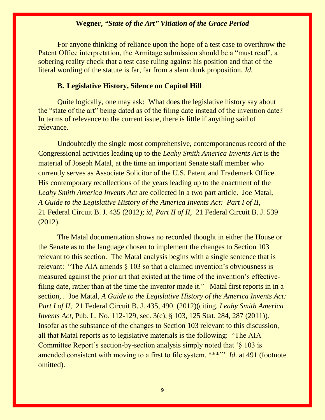For anyone thinking of reliance upon the hope of a test case to overthrow the Patent Office interpretation, the Armitage submission should be a "must read", a sobering reality check that a test case ruling against his position and that of the literal wording of the statute is far, far from a slam dunk proposition. *Id.*

#### **B. Legislative History, Silence on Capitol Hill**

Quite logically, one may ask: What does the legislative history say about the "state of the art" being dated as of the filing date instead of the invention date? In terms of relevance to the current issue, there is little if anything said of relevance.

Undoubtedly the single most comprehensive, contemporaneous record of the Congressional activities leading up to the *Leahy Smith America Invents Act* is the material of Joseph Matal, at the time an important Senate staff member who currently serves as Associate Solicitor of the U.S. Patent and Trademark Office. His contemporary recollections of the years leading up to the enactment of the *Leahy Smith America Invents Act* are collected in a two part article. Joe Matal, *A Guide to the Legislative History of the America Invents Act: Part I of II,*  21 Federal Circuit B. J. 435 (2012); *id, Part II of II,* 21 Federal Circuit B. J. 539 (2012).

The Matal documentation shows no recorded thought in either the House or the Senate as to the language chosen to implement the changes to Section 103 relevant to this section. The Matal analysis begins with a single sentence that is relevant: "The AIA amends  $\S$  103 so that a claimed invention's obviousness is measured against the prior art that existed at the time of the invention's effectivefiling date, rather than at the time the inventor made it." Matal first reports in in a section, . Joe Matal, *A Guide to the Legislative History of the America Invents Act: Part I of II,* 21 Federal Circuit B. J. 435, 490 (2012)(citing. *Leahy Smith America Invents Act, Pub. L. No.* 112-129, sec. 3(c), § 103, 125 Stat. 284, 287 (2011)). Insofar as the substance of the changes to Section 103 relevant to this discussion, all that Matal reports as to legislative materials is the following: "The AIA Committee Report's section-by-section analysis simply noted that '§ 103 is amended consistent with moving to a first to file system. \*\*\*'" *Id.* at 491 (footnote omitted).

9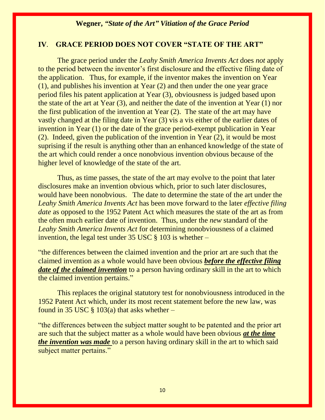### **IV**. **GRACE PERIOD DOES NOT COVER "STATE OF THE ART"**

The grace period under the *Leahy Smith America Invents Act* does *not* apply to the period between the inventor's first disclosure and the effective filing date of the application. Thus, for example, if the inventor makes the invention on Year (1), and publishes his invention at Year (2) and then under the one year grace period files his patent application at Year (3), obviousness is judged based upon the state of the art at Year (3), and neither the date of the invention at Year (1) nor the first publication of the invention at Year (2). The state of the art may have vastly changed at the filing date in Year (3) vis a vis either of the earlier dates of invention in Year (1) or the date of the grace period-exempt publication in Year (2). Indeed, given the publication of the invention in Year (2), it would be most suprising if the result is anything other than an enhanced knowledge of the state of the art which could render a once nonobvious invention obvious because of the higher level of knowledge of the state of the art.

Thus, as time passes, the state of the art may evolve to the point that later disclosures make an invention obvious which, prior to such later disclosures, would have been nonobvious. The date to determine the state of the art under the *Leahy Smith America Invents Act* has been move forward to the later *effective filing date* as opposed to the 1952 Patent Act which measures the state of the art as from the often much earlier date of invention. Thus, under the *new* standard of the *Leahy Smith America Invents Act* for determining nonobviousness of a claimed invention, the legal test under  $35 \text{ USC} \text{ }$  (103 is whether –

"the differences between the claimed invention and the prior art are such that the claimed invention as a whole would have been obvious *before the effective filing date of the claimed invention* to a person having ordinary skill in the art to which the claimed invention pertains."

This replaces the original statutory test for nonobviousness introduced in the 1952 Patent Act which, under its most recent statement before the new law, was found in 35 USC  $\S$  103(a) that asks whether –

"the differences between the subject matter sought to be patented and the prior art are such that the subject matter as a whole would have been obvious *at the time the invention was made* to a person having ordinary skill in the art to which said subject matter pertains."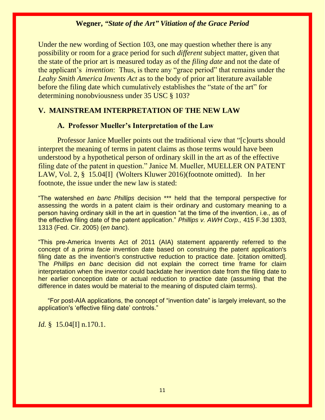Under the new wording of Section 103, one may question whether there is any possibility or room for a grace period for such *different* subject matter, given that the state of the prior art is measured today as of the *filing date* and not the date of the applicant's *invention*: Thus, is there any "grace period" that remains under the *Leahy Smith America Invents Act* as to the body of prior art literature available before the filing date which cumulatively establishes the "state of the art" for determining nonobviousness under 35 USC § 103?

#### **V. MAINSTREAM INTERPRETATION OF THE NEW LAW**

#### **A. Professor Mueller's Interpretation of the Law**

Professor Janice Mueller points out the traditional view that "[c]ourts should interpret the meaning of terms in patent claims as those terms would have been understood by a hypothetical person of ordinary skill in the art as of the effective filing date of the patent in question." Janice M. Mueller, MUELLER ON PATENT LAW, Vol. 2, § 15.04[I] (Wolters Kluwer 2016)(footnote omitted). In her footnote, the issue under the new law is stated:

"The watershed *en banc Phillips* decision \*\*\* held that the temporal perspective for assessing the words in a patent claim is their ordinary and customary meaning to a person having ordinary skill in the art in question "at the time of the invention, i.e., as of the effective filing date of the patent application." *Phillips v. AWH Corp.,* 415 F.3d 1303, 1313 (Fed. Cir. 2005) (*en banc*).

"This pre-America Invents Act of 2011 (AIA) statement apparently referred to the concept of a *prima facie* invention date based on construing the patent application's filing date as the invention's constructive reduction to practice date. [citation omitted]. The *Phillips en banc* decision did not explain the correct time frame for claim interpretation when the inventor could backdate her invention date from the filing date to her earlier conception date or actual reduction to practice date (assuming that the difference in dates would be material to the meaning of disputed claim terms).

"For post-AIA applications, the concept of "invention date" is largely irrelevant, so the application's 'effective filing date' controls."

#### *Id.* § 15.04[I] n.170.1.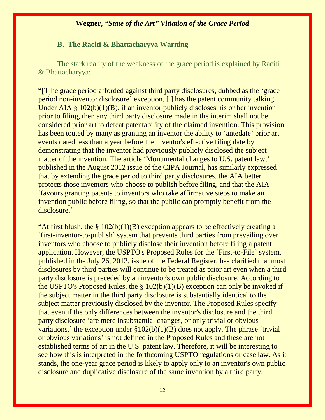#### **B. The Raciti & Bhattacharyya Warning**

The stark reality of the weakness of the grace period is explained by Raciti & Bhattacharyya:

"[T]he grace period afforded against third party disclosures, dubbed as the 'grace period non-inventor disclosure' exception, [ ] has the patent community talking. Under AIA  $\S$  102(b)(1)(B), if an inventor publicly discloses his or her invention prior to filing, then any third party disclosure made in the interim shall not be considered prior art to defeat patentability of the claimed invention. This provision has been touted by many as granting an inventor the ability to 'antedate' prior art events dated less than a year before the inventor's effective filing date by demonstrating that the inventor had previously publicly disclosed the subject matter of the invention. The article 'Monumental changes to U.S. patent law,' published in the August 2012 issue of the CIPA Journal, has similarly expressed that by extending the grace period to third party disclosures, the AIA better protects those inventors who choose to publish before filing, and that the AIA 'favours granting patents to inventors who take affirmative steps to make an invention public before filing, so that the public can promptly benefit from the disclosure.'

"At first blush, the  $\S$  102(b)(1)(B) exception appears to be effectively creating a 'first-inventor-to-publish' system that prevents third parties from prevailing over inventors who choose to publicly disclose their invention before filing a patent application. However, the USPTO's Proposed Rules for the 'First-to-File' system, published in the July 26, 2012, issue of the Federal Register, has clarified that most disclosures by third parties will continue to be treated as prior art even when a third party disclosure is preceded by an inventor's own public disclosure. According to the USPTO's Proposed Rules, the  $\S$  102(b)(1)(B) exception can only be invoked if the subject matter in the third party disclosure is substantially identical to the subject matter previously disclosed by the inventor. The Proposed Rules specify that even if the only differences between the inventor's disclosure and the third party disclosure 'are mere insubstantial changes, or only trivial or obvious variations,' the exception under  $$102(b)(1)(B)$  does not apply. The phrase 'trivial or obvious variations' is not defined in the Proposed Rules and these are not established terms of art in the U.S. patent law. Therefore, it will be interesting to see how this is interpreted in the forthcoming USPTO regulations or case law. As it stands, the one-year grace period is likely to apply only to an inventor's own public disclosure and duplicative disclosure of the same invention by a third party.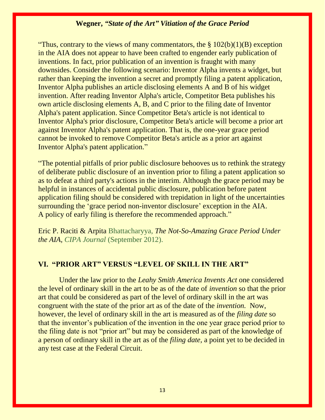"Thus, contrary to the views of many commentators, the  $\S 102(b)(1)(B)$  exception in the AIA does not appear to have been crafted to engender early publication of inventions. In fact, prior publication of an invention is fraught with many downsides. Consider the following scenario: Inventor Alpha invents a widget, but rather than keeping the invention a secret and promptly filing a patent application, Inventor Alpha publishes an article disclosing elements A and B of his widget invention. After reading Inventor Alpha's article, Competitor Beta publishes his own article disclosing elements A, B, and C prior to the filing date of Inventor Alpha's patent application. Since Competitor Beta's article is not identical to Inventor Alpha's prior disclosure, Competitor Beta's article will become a prior art against Inventor Alpha's patent application. That is, the one-year grace period cannot be invoked to remove Competitor Beta's article as a prior art against Inventor Alpha's patent application."

"The potential pitfalls of prior public disclosure behooves us to rethink the strategy of deliberate public disclosure of an invention prior to filing a patent application so as to defeat a third party's actions in the interim. Although the grace period may be helpful in instances of accidental public disclosure, publication before patent application filing should be considered with trepidation in light of the uncertainties surrounding the 'grace period non-inventor disclosure' exception in the AIA. A policy of early filing is therefore the recommended approach."

Eric P. Raciti & Arpita [Bhattacharyya,](http://www.finnegan.com/arpitabhattacharyya) *The Not-So-Amazing Grace Period Under the AIA, CIPA Journal* (September 2012).

#### **VI. "PRIOR ART" VERSUS "LEVEL OF SKILL IN THE ART"**

Under the law prior to the *Leahy Smith America Invents Act* one considered the level of ordinary skill in the art to be as of the date of *invention* so that the prior art that could be considered as part of the level of ordinary skill in the art was congruent with the state of the prior art as of the date of the *invention.* Now, however, the level of ordinary skill in the art is measured as of the *filing date* so that the inventor's publication of the invention in the one year grace period prior to the filing date is not "prior art" but may be considered as part of the knowledge of a person of ordinary skill in the art as of the *filing date,* a point yet to be decided in any test case at the Federal Circuit.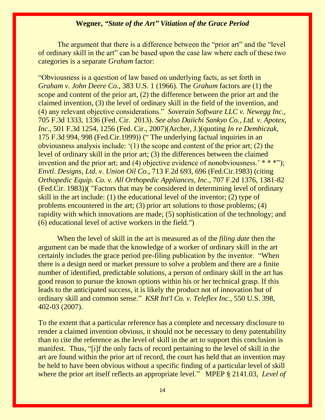The argument that there is a difference between the "prior art" and the "level" of ordinary skill in the art" can be based upon the case law where each of these two categories is a separate *Graham* factor:

"Obviousness is a question of law based on underlying facts, as set forth in *Graham v. John Deere Co.,* 383 U.S. 1 (1966). The *Graham* factors are (1) the scope and content of the prior art, (2) the difference between the prior art and the claimed invention, (3) the level of ordinary skill in the field of the invention, and (4) any relevant objective considerations." *Soverain Software LLC v. Newegg Inc.,* 705 F.3d 1333, 1336 (Fed. Cir. 2013). *See also Daiichi Sankyo Co., Ltd. v. Apotex, Inc*., 501 F.3d 1254, 1256 (Fed. Cir., 2007)(Archer, J.)(quoting *In re Dembiczak*, 175 F.3d 994, 998 (Fed.Cir.1999)) (" The underlying factual inquiries in an obviousness analysis include: '(1) the scope and content of the prior art; (2) the level of ordinary skill in the prior art; (3) the differences between the claimed invention and the prior art; and (4) objective evidence of nonobviousness.'  $***$ "); *Envtl. Designs, Ltd. v. Union Oil Co*., 713 F.2d 693, 696 (Fed.Cir.1983) (citing *Orthopedic Equip. Co. v. All Orthopedic Appliances, Inc*., 707 F.2d 1376, 1381-82 (Fed.Cir. 1983))( "Factors that may be considered in determining level of ordinary skill in the art include: (1) the educational level of the inventor; (2) type of problems encountered in the art; (3) prior art solutions to those problems; (4) rapidity with which innovations are made; (5) sophistication of the technology; and (6) educational level of active workers in the field*."*)

When the level of skill in the art is measured as of the *filing date* then the argument can be made that the knowledge of a worker of ordinary skill in the art certainly includes the grace period pre-filing publication by the inventor. "When there is a design need or market pressure to solve a problem and there are a finite number of identified, predictable solutions, a person of ordinary skill in the art has good reason to pursue the known options within his or her technical grasp. If this leads to the anticipated success, it is likely the product not of innovation but of ordinary skill and common sense." *KSR Int'l Co. v. Teleflex Inc.,* 550 U.S. 398, 402-03 (2007).

To the extent that a particular reference has a complete and necessary disclosure to render a claimed invention obvious, it should not be necessary to deny patentability than to cite the reference as the level of skill in the art to support this conclusion is manifest. Thus, "[i]f the only facts of record pertaining to the level of skill in the art are found within the prior art of record, the court has held that an invention may be held to have been obvious without a specific finding of a particular level of skill where the prior art itself reflects an appropriate level." MPEP § 2141.03, *Level of*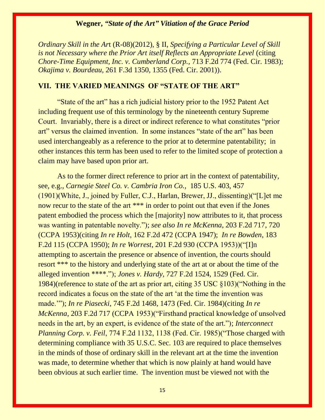*Ordinary Skill in the Ar*t (R-08)(2012), § II, *Specifying a Particular Level of Skill is not Necessary where the Prior Art itself Reflects an Appropriate Level* (citing *Chore-Time Equipment, Inc. v. Cumberland Corp.,* 713 F.2d 774 (Fed. Cir. 1983); *Okajima v. Bourdeau,* 261 F.3d 1350, 1355 (Fed. Cir. 2001)).

### **VII. THE VARIED MEANINGS OF "STATE OF THE ART"**

"State of the art" has a rich judicial history prior to the 1952 Patent Act including frequent use of this terminology by the nineteenth century Supreme Court. Invariably, there is a direct or indirect reference to what constitutes "prior art" versus the claimed invention. In some instances "state of the art" has been used interchangeably as a reference to the prior at to determine patentability; in other instances this term has been used to refer to the limited scope of protection a claim may have based upon prior art.

As to the former direct reference to prior art in the context of patentability, see, e.g., *Carnegie Steel Co. v. Cambria Iron Co.*, 185 U.S. 403, 457 (1901)(White, J., joined by Fuller, C.J., Harlan, Brewer, JJ., dissenting)("[L]et me now recur to the state of the art \*\*\* in order to point out that even if the Jones patent embodied the process which the [majority] now attributes to it, that process was wanting in patentable novelty."); *see also In re McKenna*, 203 F.2d 717, 720 (CCPA 1953)(citing *In re Holt*, 162 F.2d 472 (CCPA 1947); *In re Bowden*, 183 F.2d 115 (CCPA 1950); *In re Worrest*, 201 F.2d 930 (CCPA 1953))("[I]n attempting to ascertain the presence or absence of invention, the courts should resort \*\*\* to the history and underlying state of the art at or about the time of the alleged invention \*\*\*\*."); *Jones v. Hardy,* 727 F.2d 1524, 1529 (Fed. Cir. 1984)(reference to state of the art as prior art, citing 35 USC §103)("Nothing in the record indicates a focus on the state of the art 'at the time the invention was made.'"); *In re Piasecki*, 745 F.2d 1468, 1473 (Fed. Cir. 1984)(citing *In re McKenna*, 203 F.2d 717 (CCPA 1953)("Firsthand practical knowledge of unsolved needs in the art, by an expert, is evidence of the state of the art."); *Interconnect Planning Corp. v. Feil*, 774 F.2d 1132, 1138 (Fed. Cir. 1985)("Those charged with determining compliance with 35 U.S.C. Sec. 103 are required to place themselves in the minds of those of ordinary skill in the relevant art at the time the invention was made, to determine whether that which is now plainly at hand would have been obvious at such earlier time. The invention must be viewed not with the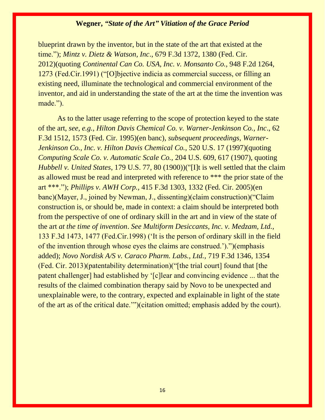blueprint drawn by the inventor, but in the state of the art that existed at the time."); *Mintz v. Dietz & Watson, Inc*., 679 F.3d 1372, 1380 (Fed. Cir. 2012)(quoting *Continental Can Co. USA, Inc. v. Monsanto Co.,* 948 F.2d 1264, 1273 (Fed.Cir.1991) ("[O]bjective indicia as commercial success, or filling an existing need, illuminate the technological and commercial environment of the inventor, and aid in understanding the state of the art at the time the invention was made.").

As to the latter usage referring to the scope of protection keyed to the state of the art, *see, e.g., Hilton Davis Chemical Co. v. Warner-Jenkinson Co., Inc*., 62 F.3d 1512, 1573 (Fed. Cir. 1995)(en banc), *subsequent proceedings, Warner-Jenkinson Co., Inc. v. Hilton Davis Chemical Co.,* 520 U.S. 17 (1997)(quoting *Computing Scale Co. v. Automatic Scale Co.,* 204 U.S. 609, 617 (1907), quoting *Hubbell v. United States*, 179 U.S. 77, 80 (1900))("[I]t is well settled that the claim as allowed must be read and interpreted with reference to \*\*\* the prior state of the art \*\*\*."); *Phillips v. AWH Corp.,* 415 F.3d 1303, 1332 (Fed. Cir. 2005)(en banc)(Mayer, J., joined by Newman, J., dissenting)(claim construction)("Claim construction is, or should be, made in context: a claim should be interpreted both from the perspective of one of ordinary skill in the art and in view of the state of the art *at the time of invention*. *See Multiform Desiccants, Inc. v. Medzam, Ltd.,* 133 F.3d 1473, 1477 (Fed.Cir.1998) ('It is the person of ordinary skill in the field of the invention through whose eyes the claims are construed.').")(emphasis added); *Novo Nordisk A/S v. Caraco Pharm. Labs., Ltd.,* 719 F.3d 1346, 1354 (Fed. Cir. 2013)(patentability determination)("[the trial court] found that [the patent challenger] had established by '[c]lear and convincing evidence ... that the results of the claimed combination therapy said by Novo to be unexpected and unexplainable were, to the contrary, expected and explainable in light of the state of the art as of the critical date.'")(citation omitted; emphasis added by the court).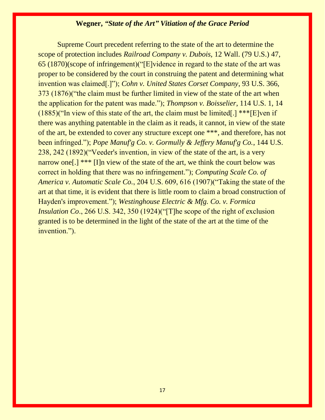Supreme Court precedent referring to the state of the art to determine the scope of protection includes *Railroad Company v. Dubois,* 12 Wall. (79 U.S.) 47, 65 (1870)(scope of infringement)("[E]vidence in regard to the state of the art was proper to be considered by the court in construing the patent and determining what invention was claimed[.]"); *Cohn v. United States Corset Company*, 93 U.S. 366, 373 (1876)("the claim must be further limited in view of the state of the art when the application for the patent was made."); *Thompson v. Boisselier*, 114 U.S. 1, 14 (1885)("In view of this state of the art, the claim must be limited[.] \*\*\*[E]ven if there was anything patentable in the claim as it reads, it cannot, in view of the state of the art, be extended to cover any structure except one \*\*\*, and therefore, has not been infringed."); *Pope Manuf'g Co. v. Gormully & Jeffery Manuf'g Co.*, 144 U.S. 238, 242 (1892)("Veeder's invention, in view of the state of the art, is a very narrow one[.] \*\*\* [I]n view of the state of the art, we think the court below was correct in holding that there was no infringement."); *Computing Scale Co. of America v. Automatic Scale Co.*, 204 U.S. 609, 616 (1907)("Taking the state of the art at that time, it is evident that there is little room to claim a broad construction of Hayden's improvement."); *Westinghouse Electric & Mfg. Co. v. Formica Insulation Co.*, 266 U.S. 342, 350 (1924)("The scope of the right of exclusion granted is to be determined in the light of the state of the art at the time of the invention.").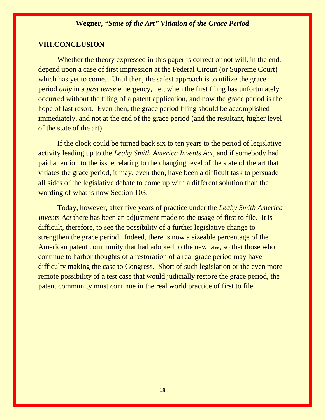### **VIII.CONCLUSION**

Whether the theory expressed in this paper is correct or not will, in the end, depend upon a case of first impression at the Federal Circuit (or Supreme Court) which has yet to come. Until then, the safest approach is to utilize the grace period *only* in a *past tense* emergency, i.e., when the first filing has unfortunately occurred without the filing of a patent application, and now the grace period is the hope of last resort. Even then, the grace period filing should be accomplished immediately, and not at the end of the grace period (and the resultant, higher level of the state of the art).

If the clock could be turned back six to ten years to the period of legislative activity leading up to the *Leahy Smith America Invents Act,* and if somebody had paid attention to the issue relating to the changing level of the state of the art that vitiates the grace period, it may, even then, have been a difficult task to persuade all sides of the legislative debate to come up with a different solution than the wording of what is now Section 103.

Today, however, after five years of practice under the *Leahy Smith America Invents Act* there has been an adjustment made to the usage of first to file. It is difficult, therefore, to see the possibility of a further legislative change to strengthen the grace period. Indeed, there is now a sizeable percentage of the American patent community that had adopted to the new law, so that those who continue to harbor thoughts of a restoration of a real grace period may have difficulty making the case to Congress. Short of such legislation or the even more remote possibility of a test case that would judicially restore the grace period, the patent community must continue in the real world practice of first to file.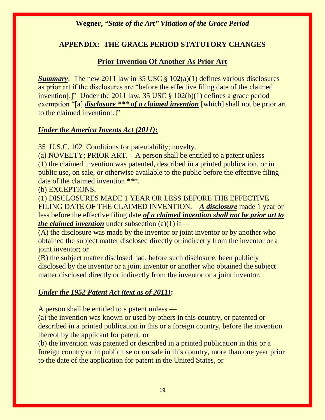## **APPENDIX: THE GRACE PERIOD STATUTORY CHANGES**

## **Prior Invention Of Another As Prior Art**

*Summary*: The new 2011 law in 35 USC § 102(a)(1) defines various disclosures as prior art if the disclosures are "before the effective filing date of the claimed invention[.]" Under the 2011 law, 35 USC § 102(b)(1) defines a grace period exemption "[a] *disclosure \*\*\* of a claimed invention* [which] shall not be prior art to the claimed invention[.]"

## *Under the America Invents Act (2011)***:**

35 U.S.C. 102 Conditions for patentability; novelty.

(a) NOVELTY; PRIOR ART.—A person shall be entitled to a patent unless— (1) the claimed invention was patented, described in a printed publication, or in public use, on sale, or otherwise available to the public before the effective filing date of the claimed invention \*\*\*.

(b) EXCEPTIONS.—

(1) DISCLOSURES MADE 1 YEAR OR LESS BEFORE THE EFFECTIVE FILING DATE OF THE CLAIMED INVENTION.—*A disclosure* made 1 year or less before the effective filing date *of a claimed invention shall not be prior art to the claimed invention* under subsection (a)(1) if—

(A) the disclosure was made by the inventor or joint inventor or by another who obtained the subject matter disclosed directly or indirectly from the inventor or a joint inventor; or

(B) the subject matter disclosed had, before such disclosure, been publicly disclosed by the inventor or a joint inventor or another who obtained the subject matter disclosed directly or indirectly from the inventor or a joint inventor.

## *Under the 1952 Patent Act (text as of 2011)***:**

A person shall be entitled to a patent unless —

(a) the invention was known or used by others in this country, or patented or described in a printed publication in this or a foreign country, before the invention thereof by the applicant for patent, or

(b) the invention was patented or described in a printed publication in this or a foreign country or in public use or on sale in this country, more than one year prior to the date of the application for patent in the United States, or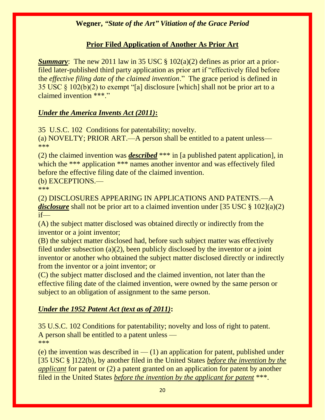## **Prior Filed Application of Another As Prior Art**

*Summary*: The new 2011 law in 35 USC § 102(a)(2) defines as prior art a priorfiled later-published third party application as prior art if "effectively filed before the *effective filing date of the claimed invention*." The grace period is defined in 35 USC  $\S$  102(b)(2) to exempt "[a] disclosure [which] shall not be prior art to a claimed invention \*\*\*."

## *Under the America Invents Act (2011)***:**

35 U.S.C. 102 Conditions for patentability; novelty.

(a) NOVELTY; PRIOR ART.—A person shall be entitled to a patent unless— \*\*\*

(2) the claimed invention was *described* \*\*\* in [a published patent application], in which the \*\*\* application \*\*\* names another inventor and was effectively filed before the effective filing date of the claimed invention.

(b) EXCEPTIONS.—

\*\*\*

(2) DISCLOSURES APPEARING IN APPLICATIONS AND PATENTS.—A *disclosure* shall not be prior art to a claimed invention under [35 USC § 102](a)(2) if—

(A) the subject matter disclosed was obtained directly or indirectly from the inventor or a joint inventor;

(B) the subject matter disclosed had, before such subject matter was effectively filed under subsection (a)(2), been publicly disclosed by the inventor or a joint inventor or another who obtained the subject matter disclosed directly or indirectly from the inventor or a joint inventor; or

(C) the subject matter disclosed and the claimed invention, not later than the effective filing date of the claimed invention, were owned by the same person or subject to an obligation of assignment to the same person.

## *Under the 1952 Patent Act (text as of 2011)***:**

35 U.S.C. 102 Conditions for patentability; novelty and loss of right to patent. A person shall be entitled to a patent unless — \*\*\*

(e) the invention was described in  $-$  (1) an application for patent, published under [35 USC § ]122(b), by another filed in the United States *before the invention by the applicant* for patent or (2) a patent granted on an application for patent by another filed in the United States *before the invention by the applicant for patent* \*\*\*.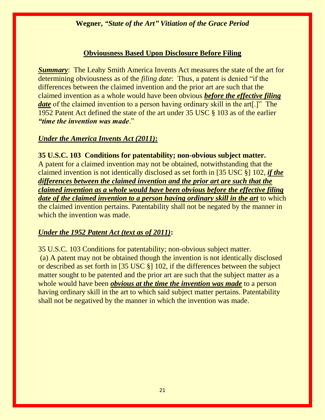### **Obviousness Based Upon Disclosure Before Filing**

*Summary*: The Leahy Smith America Invents Act measures the state of the art for determining obviousness as of the *filing date*: Thus, a patent is denied "if the differences between the claimed invention and the prior art are such that the claimed invention as a whole would have been obvious *before the effective filing date* of the claimed invention to a person having ordinary skill in the art<sup>[1]</sup>. The 1952 Patent Act defined the state of the art under 35 USC § 103 as of the earlier *"time the invention was made*."

#### *Under the America Invents Act (2011)***:**

**35 U.S.C. 103 Conditions for patentability; non-obvious subject matter.**  A patent for a claimed invention may not be obtained, notwithstanding that the claimed invention is not identically disclosed as set forth in [35 USC §] 102, *if the differences between the claimed invention and the prior art are such that the claimed invention as a whole would have been obvious before the effective filing date of the claimed invention to a person having ordinary skill in the art* to which the claimed invention pertains. Patentability shall not be negated by the manner in which the invention was made.

#### *Under the 1952 Patent Act (text as of 2011)***:**

35 U.S.C. 103 Conditions for patentability; non-obvious subject matter. (a) A patent may not be obtained though the invention is not identically disclosed or described as set forth in [35 USC §] 102, if the differences between the subject matter sought to be patented and the prior art are such that the subject matter as a whole would have been *obvious at the time the invention was made* to a person having ordinary skill in the art to which said subject matter pertains. Patentability shall not be negatived by the manner in which the invention was made.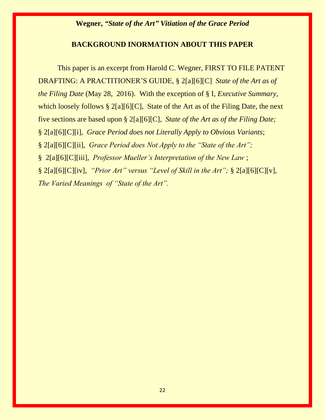### **BACKGROUND INORMATION ABOUT THIS PAPER**

This paper is an excerpt from Harold C. Wegner, FIRST TO FILE PATENT DRAFTING: A PRACTITIONER'S GUIDE, § 2[a][6][C] *State of the Art as of the Filing Date* (May 28, 2016). With the exception of § I, *Executive Summary,*  which loosely follows  $\S 2[a][6][C]$ , State of the Art as of the Filing Date, the next five sections are based upon § 2[a][6][C], *State of the Art as of the Filing Date;*  § 2[a][6][C][i], *Grace Period does not Literally Apply to Obvious Variants*; § 2[a][6][C][ii], *Grace Period does Not Apply to the "State of the Art";*  § 2[a][6][C][iii], *Professor Mueller's Interpretation of the New Law* ; § 2[a][6][C][iv], *"Prior Art" versus "Level of Skill in the Art";* § 2[a][6][C][v], *The Varied Meanings of "State of the Art".*